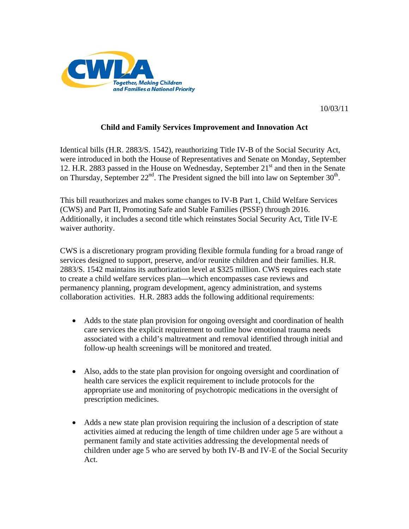

10/03/11

## **Child and Family Services Improvement and Innovation Act**

Identical bills (H.R. 2883/S. 1542), reauthorizing Title IV-B of the Social Security Act, were introduced in both the House of Representatives and Senate on Monday, September 12. H.R. 2883 passed in the House on Wednesday, September 21<sup>st</sup> and then in the Senate on Thursday, September  $22^{nd}$ . The President signed the bill into law on September  $30^{th}$ .

This bill reauthorizes and makes some changes to IV-B Part 1, Child Welfare Services (CWS) and Part II, Promoting Safe and Stable Families (PSSF) through 2016. Additionally, it includes a second title which reinstates Social Security Act, Title IV-E waiver authority.

CWS is a discretionary program providing flexible formula funding for a broad range of services designed to support, preserve, and/or reunite children and their families. H.R. 2883/S. 1542 maintains its authorization level at \$325 million. CWS requires each state to create a child welfare services plan—which encompasses case reviews and permanency planning, program development, agency administration, and systems collaboration activities. H.R. 2883 adds the following additional requirements:

- Adds to the state plan provision for ongoing oversight and coordination of health care services the explicit requirement to outline how emotional trauma needs associated with a child's maltreatment and removal identified through initial and follow-up health screenings will be monitored and treated.
- Also, adds to the state plan provision for ongoing oversight and coordination of health care services the explicit requirement to include protocols for the appropriate use and monitoring of psychotropic medications in the oversight of prescription medicines.
- Adds a new state plan provision requiring the inclusion of a description of state activities aimed at reducing the length of time children under age 5 are without a permanent family and state activities addressing the developmental needs of children under age 5 who are served by both IV-B and IV-E of the Social Security Act.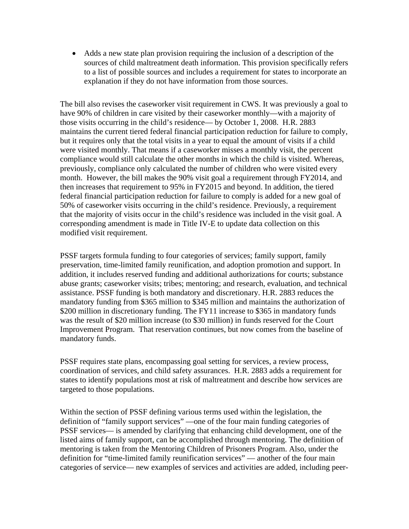• Adds a new state plan provision requiring the inclusion of a description of the sources of child maltreatment death information. This provision specifically refers to a list of possible sources and includes a requirement for states to incorporate an explanation if they do not have information from those sources.

The bill also revises the caseworker visit requirement in CWS. It was previously a goal to have 90% of children in care visited by their caseworker monthly—with a majority of those visits occurring in the child's residence— by October 1, 2008. H.R. 2883 maintains the current tiered federal financial participation reduction for failure to comply, but it requires only that the total visits in a year to equal the amount of visits if a child were visited monthly. That means if a caseworker misses a monthly visit, the percent compliance would still calculate the other months in which the child is visited. Whereas, previously, compliance only calculated the number of children who were visited every month. However, the bill makes the 90% visit goal a requirement through FY2014, and then increases that requirement to 95% in FY2015 and beyond. In addition, the tiered federal financial participation reduction for failure to comply is added for a new goal of 50% of caseworker visits occurring in the child's residence. Previously, a requirement that the majority of visits occur in the child's residence was included in the visit goal. A corresponding amendment is made in Title IV-E to update data collection on this modified visit requirement.

PSSF targets formula funding to four categories of services; family support, family preservation, time-limited family reunification, and adoption promotion and support. In addition, it includes reserved funding and additional authorizations for courts; substance abuse grants; caseworker visits; tribes; mentoring; and research, evaluation, and technical assistance. PSSF funding is both mandatory and discretionary. H.R. 2883 reduces the mandatory funding from \$365 million to \$345 million and maintains the authorization of \$200 million in discretionary funding. The FY11 increase to \$365 in mandatory funds was the result of \$20 million increase (to \$30 million) in funds reserved for the Court Improvement Program. That reservation continues, but now comes from the baseline of mandatory funds.

PSSF requires state plans, encompassing goal setting for services, a review process, coordination of services, and child safety assurances. H.R. 2883 adds a requirement for states to identify populations most at risk of maltreatment and describe how services are targeted to those populations.

Within the section of PSSF defining various terms used within the legislation, the definition of "family support services" —one of the four main funding categories of PSSF services— is amended by clarifying that enhancing child development, one of the listed aims of family support, can be accomplished through mentoring. The definition of mentoring is taken from the Mentoring Children of Prisoners Program. Also, under the definition for "time-limited family reunification services" — another of the four main categories of service— new examples of services and activities are added, including peer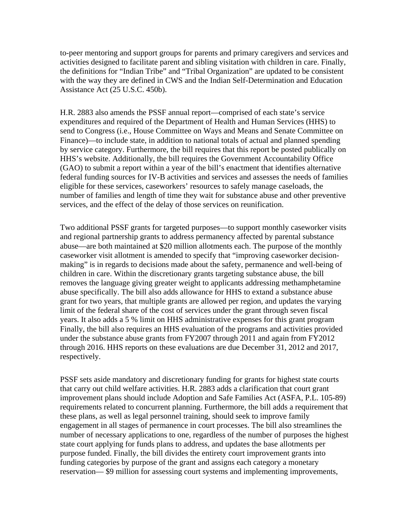to-peer mentoring and support groups for parents and primary caregivers and services and activities designed to facilitate parent and sibling visitation with children in care. Finally, the definitions for "Indian Tribe" and "Tribal Organization" are updated to be consistent with the way they are defined in CWS and the Indian Self-Determination and Education Assistance Act (25 U.S.C. 450b).

H.R. 2883 also amends the PSSF annual report—comprised of each state's service expenditures and required of the Department of Health and Human Services (HHS) to send to Congress (i.e., House Committee on Ways and Means and Senate Committee on Finance)—to include state, in addition to national totals of actual and planned spending by service category. Furthermore, the bill requires that this report be posted publically on HHS's website. Additionally, the bill requires the Government Accountability Office (GAO) to submit a report within a year of the bill's enactment that identifies alternative federal funding sources for IV-B activities and services and assesses the needs of families eligible for these services, caseworkers' resources to safely manage caseloads, the number of families and length of time they wait for substance abuse and other preventive services, and the effect of the delay of those services on reunification.

Two additional PSSF grants for targeted purposes—to support monthly caseworker visits and regional partnership grants to address permanency affected by parental substance abuse—are both maintained at \$20 million allotments each. The purpose of the monthly caseworker visit allotment is amended to specify that "improving caseworker decisionmaking" is in regards to decisions made about the safety, permanence and well-being of children in care. Within the discretionary grants targeting substance abuse, the bill removes the language giving greater weight to applicants addressing methamphetamine abuse specifically. The bill also adds allowance for HHS to extand a substance abuse grant for two years, that multiple grants are allowed per region, and updates the varying limit of the federal share of the cost of services under the grant through seven fiscal years. It also adds a 5 % limit on HHS administrative expenses for this grant program Finally, the bill also requires an HHS evaluation of the programs and activities provided under the substance abuse grants from FY2007 through 2011 and again from FY2012 through 2016. HHS reports on these evaluations are due December 31, 2012 and 2017, respectively.

PSSF sets aside mandatory and discretionary funding for grants for highest state courts that carry out child welfare activities. H.R. 2883 adds a clarification that court grant improvement plans should include Adoption and Safe Families Act (ASFA, P.L. 105-89) requirements related to concurrent planning. Furthermore, the bill adds a requirement that these plans, as well as legal personnel training, should seek to improve family engagement in all stages of permanence in court processes. The bill also streamlines the number of necessary applications to one, regardless of the number of purposes the highest state court applying for funds plans to address, and updates the base allotments per purpose funded. Finally, the bill divides the entirety court improvement grants into funding categories by purpose of the grant and assigns each category a monetary reservation— \$9 million for assessing court systems and implementing improvements,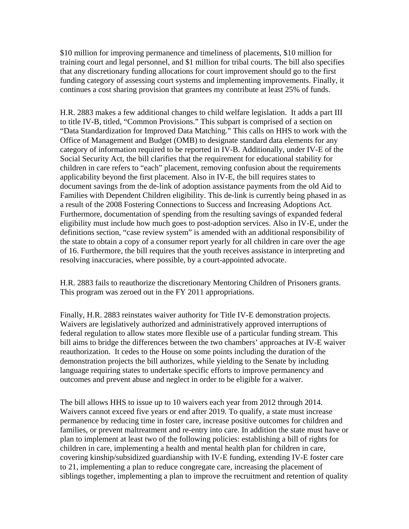\$10 million for improving permanence and timeliness of placements, \$10 million for training court and legal personnel, and \$1 million for tribal courts. The bill also specifies that any discretionary funding allocations for court improvement should go to the first funding category of assessing court systems and implementing improvements. Finally, it continues a cost sharing provision that grantees my contribute at least 25% of funds.

H.R. 2883 makes a few additional changes to child welfare legislation. It adds a part III to title IV-B, titled, "Common Provisions." This subpart is comprised of a section on "Data Standardization for Improved Data Matching." This calls on HHS to work with the Office of Management and Budget (OMB) to designate standard data elements for any category of information required to be reported in IV-B. Additionally, under IV-E of the Social Security Act, the bill clarifies that the requirement for educational stability for children in care refers to "each" placement, removing confusion about the requirements applicability beyond the first placement. Also in IV-E, the bill requires states to document savings from the de-link of adoption assistance payments from the old Aid to Families with Dependent Children eligibility. This de-link is currently being phased in as a result of the 2008 Fostering Connections to Success and Increasing Adoptions Act. Furthermore, documentation of spending from the resulting savings of expanded federal eligibility must include how much goes to post-adoption services. Also in IV-E, under the definitions section, "case review system" is amended with an additional responsibility of the state to obtain a copy of a consumer report yearly for all children in care over the age of 16. Furthermore, the bill requires that the youth receives assistance in interpreting and resolving inaccuracies, where possible, by a court-appointed advocate.

H.R. 2883 fails to reauthorize the discretionary Mentoring Children of Prisoners grants. This program was zeroed out in the FY 2011 appropriations.

Finally, H.R. 2883 reinstates waiver authority for Title IV-E demonstration projects. Waivers are legislatively authorized and administratively approved interruptions of federal regulation to allow states more flexible use of a particular funding stream. This bill aims to bridge the differences between the two chambers' approaches at IV-E waiver reauthorization. It cedes to the House on some points including the duration of the demonstration projects the bill authorizes, while yielding to the Senate by including language requiring states to undertake specific efforts to improve permanency and outcomes and prevent abuse and neglect in order to be eligible for a waiver.

The bill allows HHS to issue up to 10 waivers each year from 2012 through 2014. Waivers cannot exceed five years or end after 2019. To qualify, a state must increase permanence by reducing time in foster care, increase positive outcomes for children and families, or prevent maltreatment and re-entry into care. In addition the state must have or plan to implement at least two of the following policies: establishing a bill of rights for children in care, implementing a health and mental health plan for children in care, covering kinship/subsidized guardianship with IV-E funding, extending IV-E foster care to 21, implementing a plan to reduce congregate care, increasing the placement of siblings together, implementing a plan to improve the recruitment and retention of quality